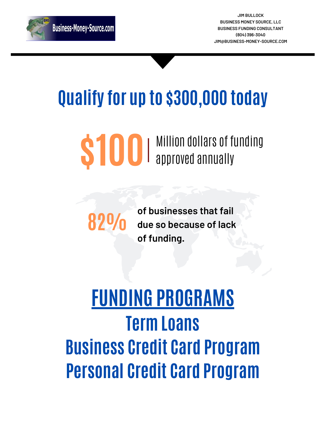## **FUNDING PROGRAMS Term Loans Business Credit Card Program Personal Credit Card Program**

## **Qualify for up to \$300,000 today**

# **\$100** Million dollars of funding

**of businesses that fail due so because of lack of funding. 82%**



**JIM BULLOCK BUSINESS MONEY SOURCE, LLC BUSINESS FUNDING CONSULTANT (804) 396-3040 [JIM@BUSINESS-MONEY-SOURCE.COM](mailto:catrinagipson@cmgcreditsolutions.com)**

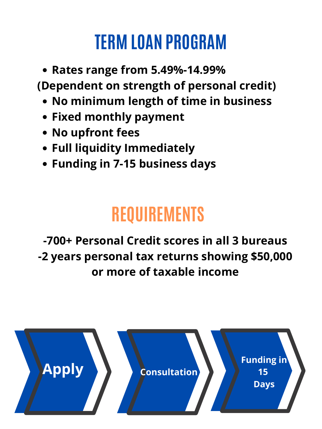- **Rates range from 5.49%-14.99% (Dependent on strength of personal credit)**
	- **No minimum length of time in business**
	- **Fixed monthly payment**
	- **No upfront fees**
	- **Full liquidity Immediately**
	- **Funding in 7-15 business days**

#### **REQUIREME**

#### **TERM LOAN PROGRAM**

#### **-700+ Personal Credit scores in all 3 bureaus -2 years personal tax returns showing \$50,000 or more of taxable income**

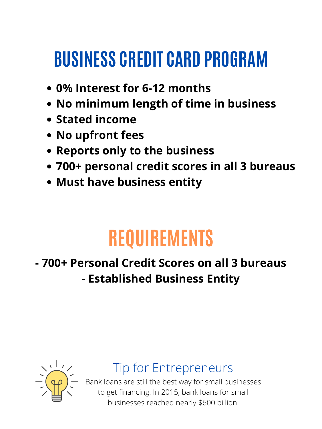### **BUSINESS CREDIT CARD PROGRAM**

- **0% Interest for 6-12 months**
- **No minimum length of time in business**
- **Stated income**
- **No upfront fees**
- **Reports only to the business**
- **700+ personal credit scores in all 3 bureaus**
- **Must have business entity**

#### **REQUIREMENTS**

#### **- 700+ Personal Credit Scores on all 3 bureaus**

#### **- Established Business Entity**



#### Tip for Entrepreneurs

Bank loans are still the best way for small businesses to get financing. In 2015, bank loans for small businesses reached nearly \$600 billion.